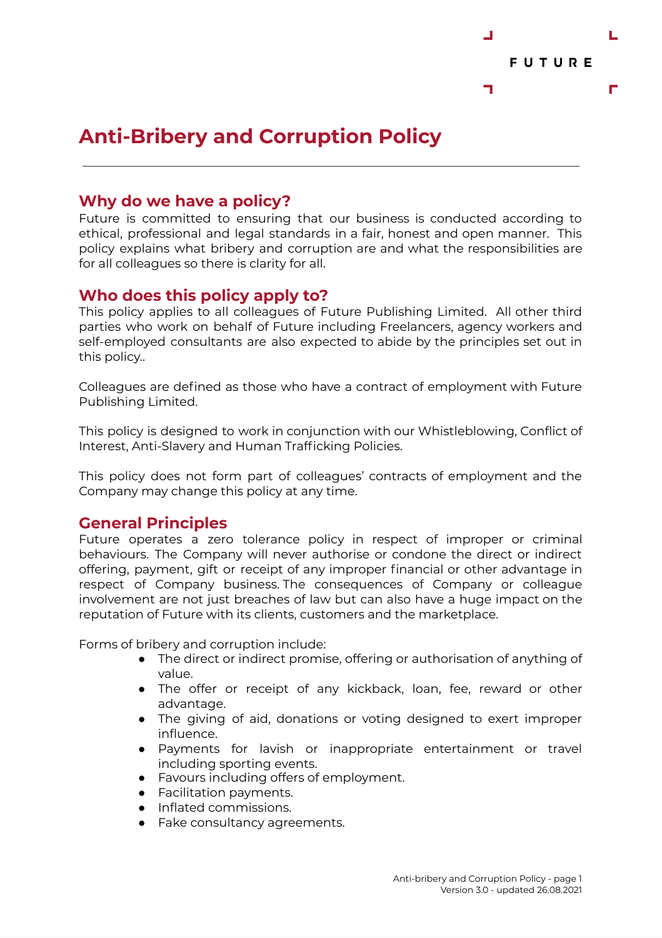

# **Anti-Bribery and Corruption Policy**

#### **Why do we have a policy?**

Future is committed to ensuring that our business is conducted according to ethical, professional and legal standards in a fair, honest and open manner. This policy explains what bribery and corruption are and what the responsibilities are for all colleagues so there is clarity for all.

#### **Who does this policy apply to?**

This policy applies to all colleagues of Future Publishing Limited. All other third parties who work on behalf of Future including Freelancers, agency workers and self-employed consultants are also expected to abide by the principles set out in this policy..

Colleagues are defined as those who have a contract of employment with Future Publishing Limited.

This policy is designed to work in conjunction with our Whistleblowing, Conflict of Interest, Anti-Slavery and Human Trafficking Policies.

This policy does not form part of colleagues' contracts of employment and the Company may change this policy at any time.

#### **General Principles**

Future operates a zero tolerance policy in respect of improper or criminal behaviours. The Company will never authorise or condone the direct or indirect offering, payment, gift or receipt of any improper financial or other advantage in respect of Company business. The consequences of Company or colleague involvement are not just breaches of law but can also have a huge impact on the reputation of Future with its clients, customers and the marketplace.

Forms of bribery and corruption include:

- The direct or indirect promise, offering or authorisation of anything of value.
- The offer or receipt of any kickback, loan, fee, reward or other advantage.
- The giving of aid, donations or voting designed to exert improper influence.
- Payments for lavish or inappropriate entertainment or travel including sporting events.
- Favours including offers of employment.
- Facilitation payments.
- Inflated commissions.
- Fake consultancy agreements.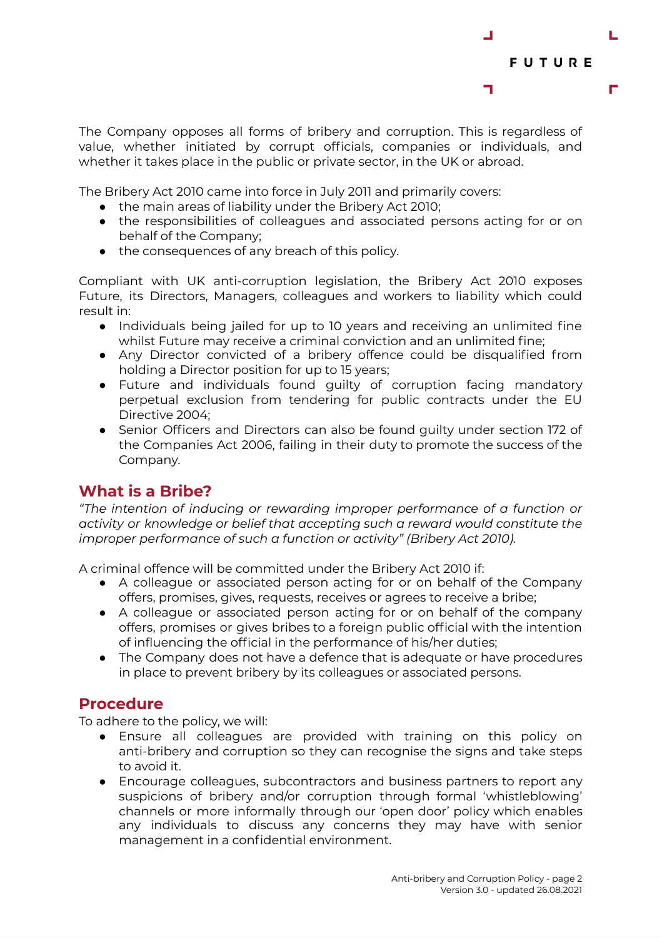

The Company opposes all forms of bribery and corruption. This is regardless of value, whether initiated by corrupt officials, companies or individuals, and whether it takes place in the public or private sector, in the UK or abroad.

The Bribery Act 2010 came into force in July 2011 and primarily covers:

- the main areas of liability under the Bribery Act 2010;
- the responsibilities of colleagues and associated persons acting for or on behalf of the Company;
- the consequences of any breach of this policy.

Compliant with UK anti-corruption legislation, the Bribery Act 2010 exposes Future, its Directors, Managers, colleagues and workers to liability which could result in:

- Individuals being jailed for up to 10 years and receiving an unlimited fine whilst Future may receive a criminal conviction and an unlimited fine;
- Any Director convicted of a bribery offence could be disqualified from holding a Director position for up to 15 years;
- Future and individuals found guilty of corruption facing mandatory perpetual exclusion from tendering for public contracts under the EU Directive 2004;
- Senior Officers and Directors can also be found guilty under section 172 of the Companies Act 2006, failing in their duty to promote the success of the Company.

#### **What is a Bribe?**

*"The intention of inducing or rewarding improper performance of a function or activity or knowledge or belief that accepting such a reward would constitute the improper performance of such a function or activity" (Bribery Act 2010).*

A criminal offence will be committed under the Bribery Act 2010 if:

- A colleague or associated person acting for or on behalf of the Company offers, promises, gives, requests, receives or agrees to receive a bribe;
- A colleague or associated person acting for or on behalf of the company offers, promises or gives bribes to a foreign public official with the intention of influencing the official in the performance of his/her duties;
- The Company does not have a defence that is adequate or have procedures in place to prevent bribery by its colleagues or associated persons.

#### **Procedure**

To adhere to the policy, we will:

- Ensure all colleagues are provided with training on this policy on anti-bribery and corruption so they can recognise the signs and take steps to avoid it.
- Encourage colleagues, subcontractors and business partners to report any suspicions of bribery and/or corruption through formal 'whistleblowing' channels or more informally through our 'open door' policy which enables any individuals to discuss any concerns they may have with senior management in a confidential environment.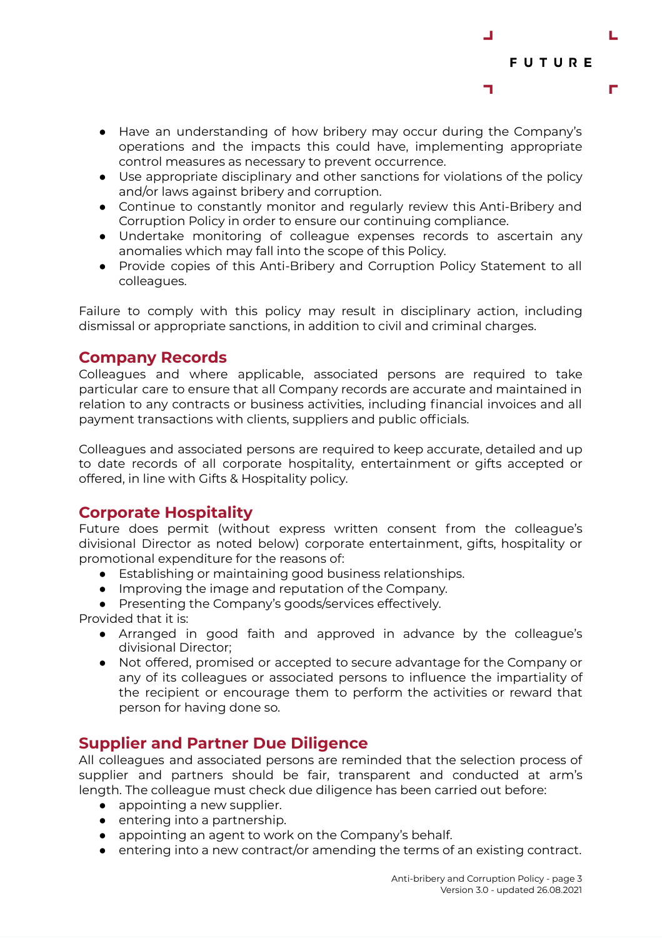

- Have an understanding of how bribery may occur during the Company's operations and the impacts this could have, implementing appropriate control measures as necessary to prevent occurrence.
- Use appropriate disciplinary and other sanctions for violations of the policy and/or laws against bribery and corruption.
- Continue to constantly monitor and regularly review this Anti-Bribery and Corruption Policy in order to ensure our continuing compliance.
- Undertake monitoring of colleague expenses records to ascertain any anomalies which may fall into the scope of this Policy.
- Provide copies of this Anti-Bribery and Corruption Policy Statement to all colleagues.

Failure to comply with this policy may result in disciplinary action, including dismissal or appropriate sanctions, in addition to civil and criminal charges.

#### **Company Records**

Colleagues and where applicable, associated persons are required to take particular care to ensure that all Company records are accurate and maintained in relation to any contracts or business activities, including financial invoices and all payment transactions with clients, suppliers and public officials.

Colleagues and associated persons are required to keep accurate, detailed and up to date records of all corporate hospitality, entertainment or gifts accepted or offered, in line with Gifts & Hospitality policy.

# **Corporate Hospitality**

Future does permit (without express written consent from the colleague's divisional Director as noted below) corporate entertainment, gifts, hospitality or promotional expenditure for the reasons of:

- Establishing or maintaining good business relationships.
- Improving the image and reputation of the Company.
- Presenting the Company's goods/services effectively.

Provided that it is:

- Arranged in good faith and approved in advance by the colleague's divisional Director;
- Not offered, promised or accepted to secure advantage for the Company or any of its colleagues or associated persons to influence the impartiality of the recipient or encourage them to perform the activities or reward that person for having done so.

# **Supplier and Partner Due Diligence**

All colleagues and associated persons are reminded that the selection process of supplier and partners should be fair, transparent and conducted at arm's length. The colleague must check due diligence has been carried out before:

- appointing a new supplier.
- entering into a partnership.
- appointing an agent to work on the Company's behalf.
- $\bullet$  entering into a new contract/or amending the terms of an existing contract.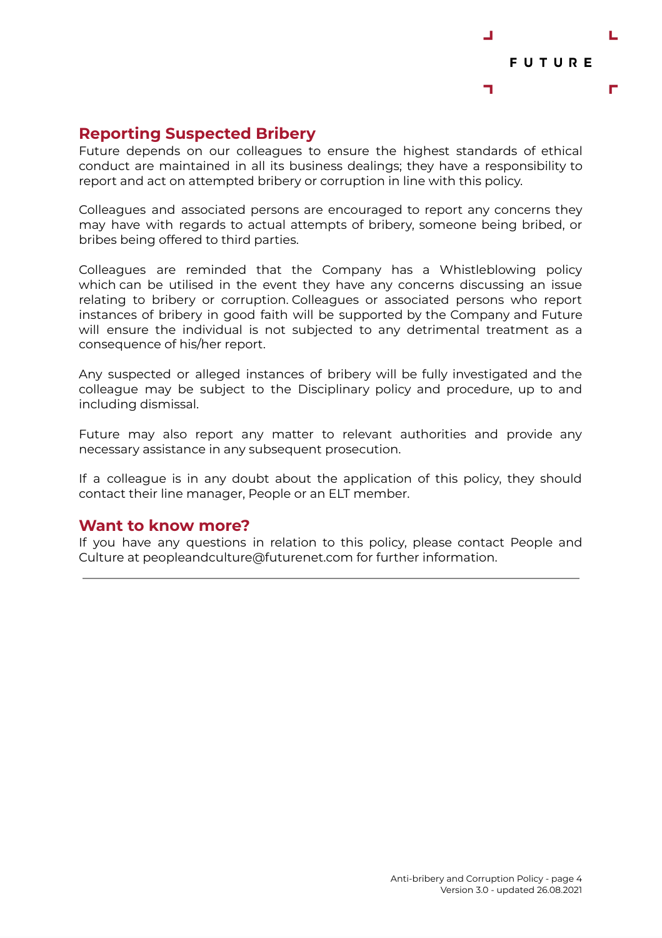

### **Reporting Suspected Bribery**

Future depends on our colleagues to ensure the highest standards of ethical conduct are maintained in all its business dealings; they have a responsibility to report and act on attempted bribery or corruption in line with this policy.

Colleagues and associated persons are encouraged to report any concerns they may have with regards to actual attempts of bribery, someone being bribed, or bribes being offered to third parties.

Colleagues are reminded that the Company has a Whistleblowing policy which can be utilised in the event they have any concerns discussing an issue relating to bribery or corruption. Colleagues or associated persons who report instances of bribery in good faith will be supported by the Company and Future will ensure the individual is not subjected to any detrimental treatment as a consequence of his/her report.

Any suspected or alleged instances of bribery will be fully investigated and the colleague may be subject to the Disciplinary policy and procedure, up to and including dismissal.

Future may also report any matter to relevant authorities and provide any necessary assistance in any subsequent prosecution.

If a colleague is in any doubt about the application of this policy, they should contact their line manager, People or an ELT member.

#### **Want to know more?**

If you have any questions in relation to this policy, please contact People and Culture at peopleandculture@futurenet.com for further information.